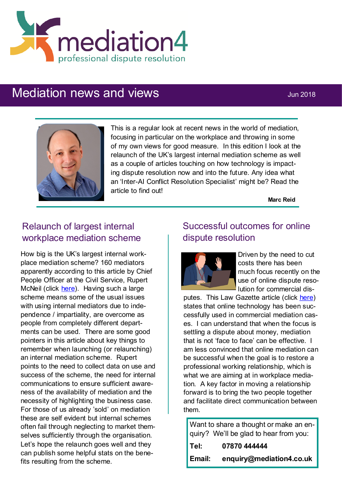

# Mediation news and views **Mediation** news and views



This is a regular look at recent news in the world of mediation, focusing in particular on the workplace and throwing in some of my own views for good measure. In this edition I look at the relaunch of the UK's largest internal mediation scheme as well as a couple of articles touching on how technology is impacting dispute resolution now and into the future. Any idea what an 'Inter-AI Conflict Resolution Specialist' might be? Read the article to find out!

**Marc Reid**

## Relaunch of largest internal workplace mediation scheme

How big is the UK's largest internal workplace mediation scheme? 160 mediators apparently according to this article by Chief People Officer at the Civil Service, Rupert McNeil (click [here\).](https://www.civilserviceworld.com/articles/feature/rupert-mcneil-mediation-it%E2%80%99s-good-talk) Having such a large scheme means some of the usual issues with using internal mediators due to independence / impartiality, are overcome as people from completely different departments can be used. There are some good pointers in this article about key things to remember when launching (or relaunching) an internal mediation scheme. Rupert points to the need to collect data on use and success of the scheme, the need for internal communications to ensure sufficient awareness of the availability of mediation and the necessity of highlighting the business case. For those of us already 'sold' on mediation these are self evident but internal schemes often fail through neglecting to market themselves sufficiently through the organisation. Let's hope the relaunch goes well and they can publish some helpful stats on the benefits resulting from the scheme.

### Successful outcomes for online dispute resolution



Driven by the need to cut costs there has been much focus recently on the use of online dispute resolution for commercial dis-

putes. This Law Gazette article (click here) states that online technology has been successfully used in commercial mediation cases. I can understand that when the focus is settling a dispute about money, mediation that is not 'face to face' can be effective. I am less convinced that online mediation can be successful when the goal is to restore a professional working relationship, which is what we are aiming at in workplace mediation. A key factor in moving a relationship forward is to bring the two people together and facilitate direct communication between them.

Want to share a thought or make an enquiry? We'll be glad to hear from you:

| Tel:   | 07870 444444             |
|--------|--------------------------|
| Email: | enquiry@mediation4.co.uk |